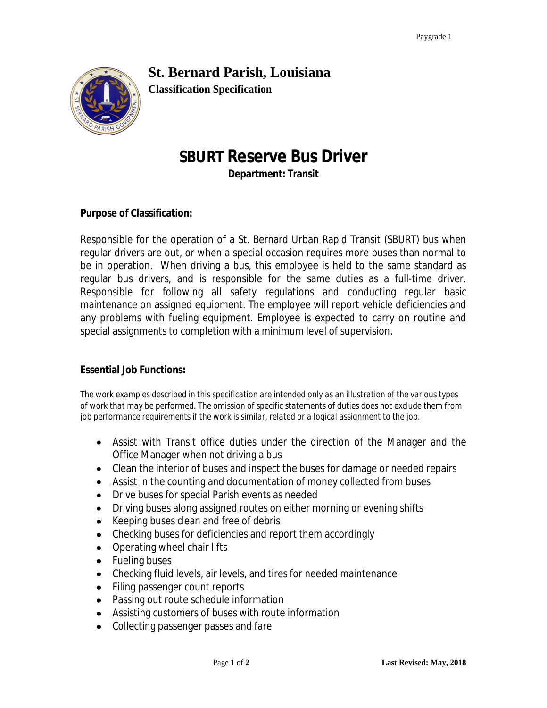# **St. Bernard Parish, Louisiana**



**Classification Specification**

# **SBURT Reserve Bus Driver**

**Department: Transit**

## **Purpose of Classification:**

Responsible for the operation of a St. Bernard Urban Rapid Transit (SBURT) bus when regular drivers are out, or when a special occasion requires more buses than normal to be in operation. When driving a bus, this employee is held to the same standard as regular bus drivers, and is responsible for the same duties as a full-time driver. Responsible for following all safety regulations and conducting regular basic maintenance on assigned equipment. The employee will report vehicle deficiencies and any problems with fueling equipment. Employee is expected to carry on routine and special assignments to completion with a minimum level of supervision.

### **Essential Job Functions:**

*The work examples described in this specification are intended only as an illustration of the various types of work that may be performed. The omission of specific statements of duties does not exclude them from job performance requirements if the work is similar, related or a logical assignment to the job.* 

- Assist with Transit office duties under the direction of the Manager and the Office Manager when not driving a bus
- Clean the interior of buses and inspect the buses for damage or needed repairs
- Assist in the counting and documentation of money collected from buses
- Drive buses for special Parish events as needed
- Driving buses along assigned routes on either morning or evening shifts
- Keeping buses clean and free of debris
- Checking buses for deficiencies and report them accordingly
- Operating wheel chair lifts
- Fueling buses
- Checking fluid levels, air levels, and tires for needed maintenance
- Filing passenger count reports
- Passing out route schedule information
- Assisting customers of buses with route information
- Collecting passenger passes and fare